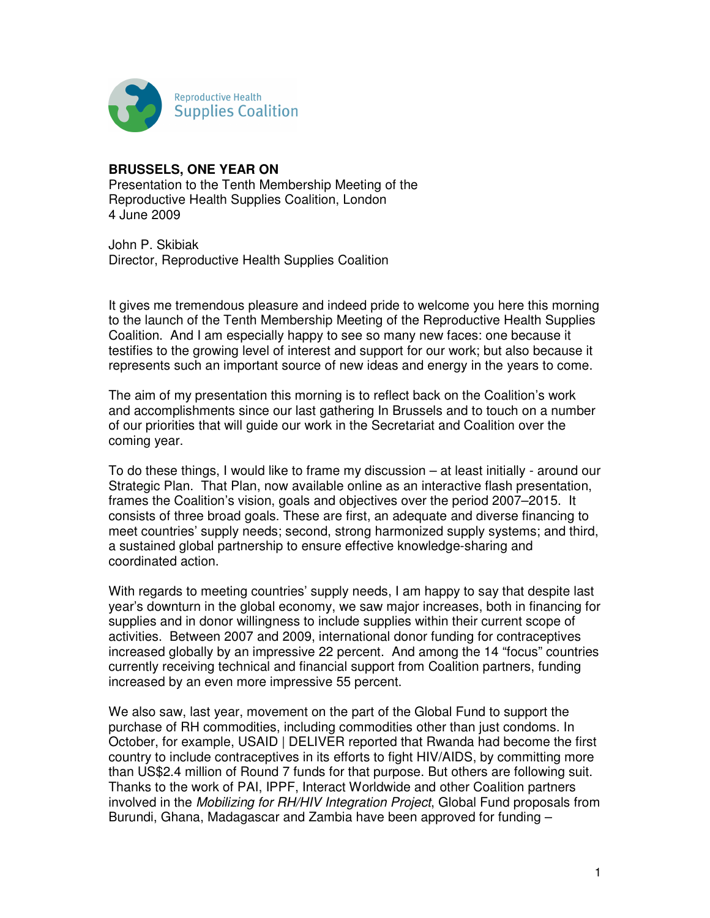

## **BRUSSELS, ONE YEAR ON**

Presentation to the Tenth Membership Meeting of the Reproductive Health Supplies Coalition, London 4 June 2009

John P. Skibiak Director, Reproductive Health Supplies Coalition

It gives me tremendous pleasure and indeed pride to welcome you here this morning to the launch of the Tenth Membership Meeting of the Reproductive Health Supplies Coalition. And I am especially happy to see so many new faces: one because it testifies to the growing level of interest and support for our work; but also because it represents such an important source of new ideas and energy in the years to come.

The aim of my presentation this morning is to reflect back on the Coalition's work and accomplishments since our last gathering In Brussels and to touch on a number of our priorities that will guide our work in the Secretariat and Coalition over the coming year.

To do these things, I would like to frame my discussion – at least initially - around our Strategic Plan. That Plan, now available online as an interactive flash presentation, frames the Coalition's vision, goals and objectives over the period 2007–2015. It consists of three broad goals. These are first, an adequate and diverse financing to meet countries' supply needs; second, strong harmonized supply systems; and third, a sustained global partnership to ensure effective knowledge-sharing and coordinated action.

With regards to meeting countries' supply needs, I am happy to say that despite last year's downturn in the global economy, we saw major increases, both in financing for supplies and in donor willingness to include supplies within their current scope of activities. Between 2007 and 2009, international donor funding for contraceptives increased globally by an impressive 22 percent. And among the 14 "focus" countries currently receiving technical and financial support from Coalition partners, funding increased by an even more impressive 55 percent.

We also saw, last year, movement on the part of the Global Fund to support the purchase of RH commodities, including commodities other than just condoms. In October, for example, USAID | DELIVER reported that Rwanda had become the first country to include contraceptives in its efforts to fight HIV/AIDS, by committing more than US\$2.4 million of Round 7 funds for that purpose. But others are following suit. Thanks to the work of PAI, IPPF, Interact Worldwide and other Coalition partners involved in the Mobilizing for RH/HIV Integration Project, Global Fund proposals from Burundi, Ghana, Madagascar and Zambia have been approved for funding –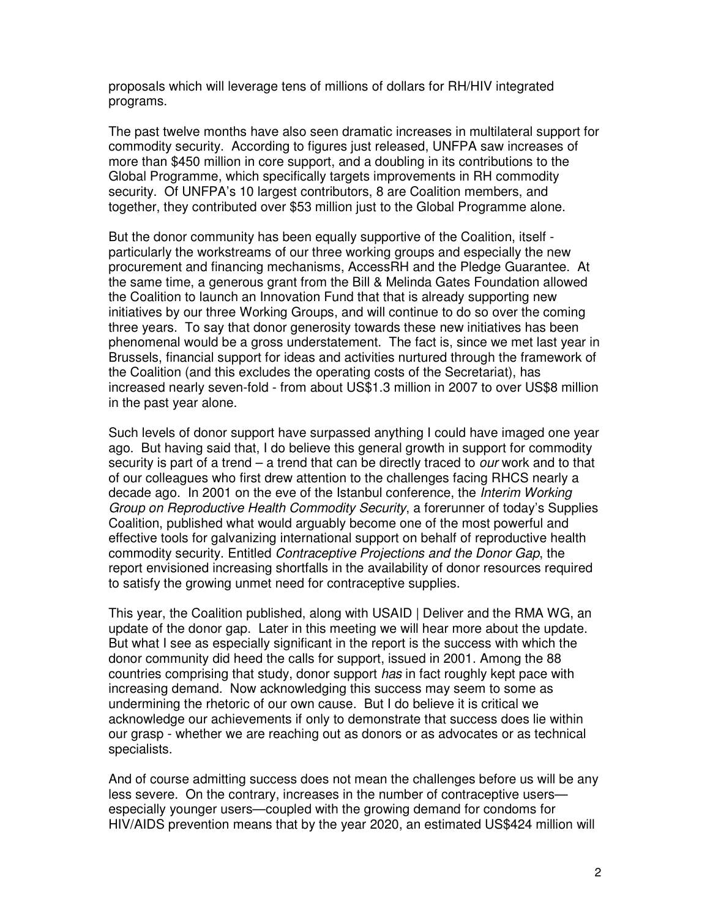proposals which will leverage tens of millions of dollars for RH/HIV integrated programs.

The past twelve months have also seen dramatic increases in multilateral support for commodity security. According to figures just released, UNFPA saw increases of more than \$450 million in core support, and a doubling in its contributions to the Global Programme, which specifically targets improvements in RH commodity security. Of UNFPA's 10 largest contributors, 8 are Coalition members, and together, they contributed over \$53 million just to the Global Programme alone.

But the donor community has been equally supportive of the Coalition, itself particularly the workstreams of our three working groups and especially the new procurement and financing mechanisms, AccessRH and the Pledge Guarantee. At the same time, a generous grant from the Bill & Melinda Gates Foundation allowed the Coalition to launch an Innovation Fund that that is already supporting new initiatives by our three Working Groups, and will continue to do so over the coming three years. To say that donor generosity towards these new initiatives has been phenomenal would be a gross understatement. The fact is, since we met last year in Brussels, financial support for ideas and activities nurtured through the framework of the Coalition (and this excludes the operating costs of the Secretariat), has increased nearly seven-fold - from about US\$1.3 million in 2007 to over US\$8 million in the past year alone.

Such levels of donor support have surpassed anything I could have imaged one year ago. But having said that, I do believe this general growth in support for commodity security is part of a trend – a trend that can be directly traced to *our* work and to that of our colleagues who first drew attention to the challenges facing RHCS nearly a decade ago. In 2001 on the eve of the Istanbul conference, the *Interim Working* Group on Reproductive Health Commodity Security, a forerunner of today's Supplies Coalition, published what would arguably become one of the most powerful and effective tools for galvanizing international support on behalf of reproductive health commodity security. Entitled Contraceptive Projections and the Donor Gap, the report envisioned increasing shortfalls in the availability of donor resources required to satisfy the growing unmet need for contraceptive supplies.

This year, the Coalition published, along with USAID | Deliver and the RMA WG, an update of the donor gap. Later in this meeting we will hear more about the update. But what I see as especially significant in the report is the success with which the donor community did heed the calls for support, issued in 2001. Among the 88 countries comprising that study, donor support has in fact roughly kept pace with increasing demand. Now acknowledging this success may seem to some as undermining the rhetoric of our own cause. But I do believe it is critical we acknowledge our achievements if only to demonstrate that success does lie within our grasp - whether we are reaching out as donors or as advocates or as technical specialists.

And of course admitting success does not mean the challenges before us will be any less severe. On the contrary, increases in the number of contraceptive users especially younger users—coupled with the growing demand for condoms for HIV/AIDS prevention means that by the year 2020, an estimated US\$424 million will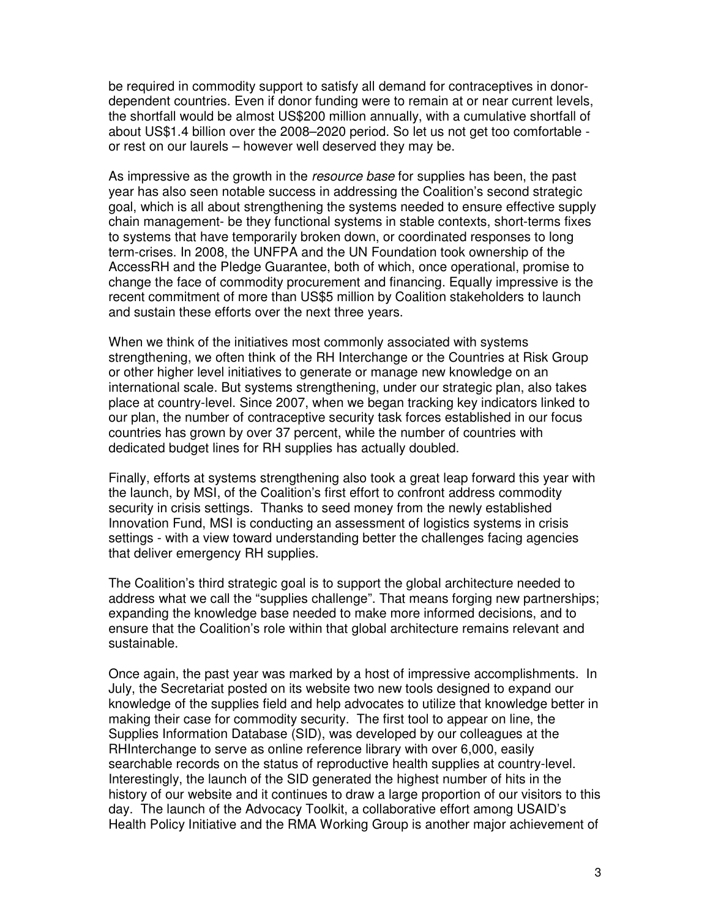be required in commodity support to satisfy all demand for contraceptives in donordependent countries. Even if donor funding were to remain at or near current levels, the shortfall would be almost US\$200 million annually, with a cumulative shortfall of about US\$1.4 billion over the 2008–2020 period. So let us not get too comfortable or rest on our laurels – however well deserved they may be.

As impressive as the growth in the resource base for supplies has been, the past year has also seen notable success in addressing the Coalition's second strategic goal, which is all about strengthening the systems needed to ensure effective supply chain management- be they functional systems in stable contexts, short-terms fixes to systems that have temporarily broken down, or coordinated responses to long term-crises. In 2008, the UNFPA and the UN Foundation took ownership of the AccessRH and the Pledge Guarantee, both of which, once operational, promise to change the face of commodity procurement and financing. Equally impressive is the recent commitment of more than US\$5 million by Coalition stakeholders to launch and sustain these efforts over the next three years.

When we think of the initiatives most commonly associated with systems strengthening, we often think of the RH Interchange or the Countries at Risk Group or other higher level initiatives to generate or manage new knowledge on an international scale. But systems strengthening, under our strategic plan, also takes place at country-level. Since 2007, when we began tracking key indicators linked to our plan, the number of contraceptive security task forces established in our focus countries has grown by over 37 percent, while the number of countries with dedicated budget lines for RH supplies has actually doubled.

Finally, efforts at systems strengthening also took a great leap forward this year with the launch, by MSI, of the Coalition's first effort to confront address commodity security in crisis settings. Thanks to seed money from the newly established Innovation Fund, MSI is conducting an assessment of logistics systems in crisis settings - with a view toward understanding better the challenges facing agencies that deliver emergency RH supplies.

The Coalition's third strategic goal is to support the global architecture needed to address what we call the "supplies challenge". That means forging new partnerships; expanding the knowledge base needed to make more informed decisions, and to ensure that the Coalition's role within that global architecture remains relevant and sustainable.

Once again, the past year was marked by a host of impressive accomplishments. In July, the Secretariat posted on its website two new tools designed to expand our knowledge of the supplies field and help advocates to utilize that knowledge better in making their case for commodity security. The first tool to appear on line, the Supplies Information Database (SID), was developed by our colleagues at the RHInterchange to serve as online reference library with over 6,000, easily searchable records on the status of reproductive health supplies at country-level. Interestingly, the launch of the SID generated the highest number of hits in the history of our website and it continues to draw a large proportion of our visitors to this day. The launch of the Advocacy Toolkit, a collaborative effort among USAID's Health Policy Initiative and the RMA Working Group is another major achievement of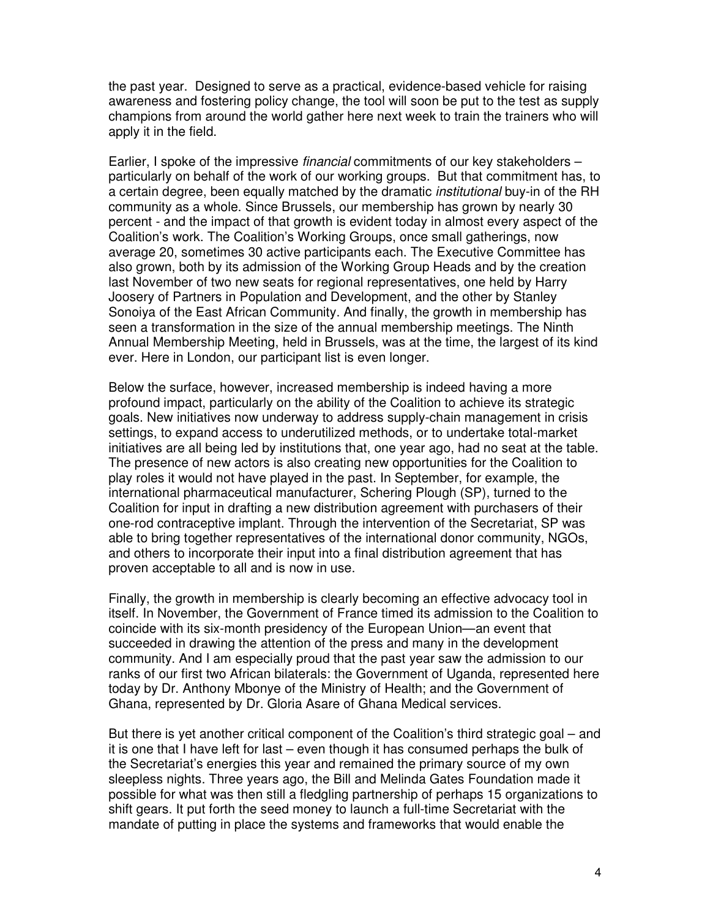the past year. Designed to serve as a practical, evidence-based vehicle for raising awareness and fostering policy change, the tool will soon be put to the test as supply champions from around the world gather here next week to train the trainers who will apply it in the field.

Earlier, I spoke of the impressive *financial* commitments of our key stakeholders – particularly on behalf of the work of our working groups. But that commitment has, to a certain degree, been equally matched by the dramatic *institutional* buy-in of the RH community as a whole. Since Brussels, our membership has grown by nearly 30 percent - and the impact of that growth is evident today in almost every aspect of the Coalition's work. The Coalition's Working Groups, once small gatherings, now average 20, sometimes 30 active participants each. The Executive Committee has also grown, both by its admission of the Working Group Heads and by the creation last November of two new seats for regional representatives, one held by Harry Joosery of Partners in Population and Development, and the other by Stanley Sonoiya of the East African Community. And finally, the growth in membership has seen a transformation in the size of the annual membership meetings. The Ninth Annual Membership Meeting, held in Brussels, was at the time, the largest of its kind ever. Here in London, our participant list is even longer.

Below the surface, however, increased membership is indeed having a more profound impact, particularly on the ability of the Coalition to achieve its strategic goals. New initiatives now underway to address supply-chain management in crisis settings, to expand access to underutilized methods, or to undertake total-market initiatives are all being led by institutions that, one year ago, had no seat at the table. The presence of new actors is also creating new opportunities for the Coalition to play roles it would not have played in the past. In September, for example, the international pharmaceutical manufacturer, Schering Plough (SP), turned to the Coalition for input in drafting a new distribution agreement with purchasers of their one-rod contraceptive implant. Through the intervention of the Secretariat, SP was able to bring together representatives of the international donor community, NGOs, and others to incorporate their input into a final distribution agreement that has proven acceptable to all and is now in use.

Finally, the growth in membership is clearly becoming an effective advocacy tool in itself. In November, the Government of France timed its admission to the Coalition to coincide with its six-month presidency of the European Union—an event that succeeded in drawing the attention of the press and many in the development community. And I am especially proud that the past year saw the admission to our ranks of our first two African bilaterals: the Government of Uganda, represented here today by Dr. Anthony Mbonye of the Ministry of Health; and the Government of Ghana, represented by Dr. Gloria Asare of Ghana Medical services.

But there is yet another critical component of the Coalition's third strategic goal – and it is one that I have left for last – even though it has consumed perhaps the bulk of the Secretariat's energies this year and remained the primary source of my own sleepless nights. Three years ago, the Bill and Melinda Gates Foundation made it possible for what was then still a fledgling partnership of perhaps 15 organizations to shift gears. It put forth the seed money to launch a full-time Secretariat with the mandate of putting in place the systems and frameworks that would enable the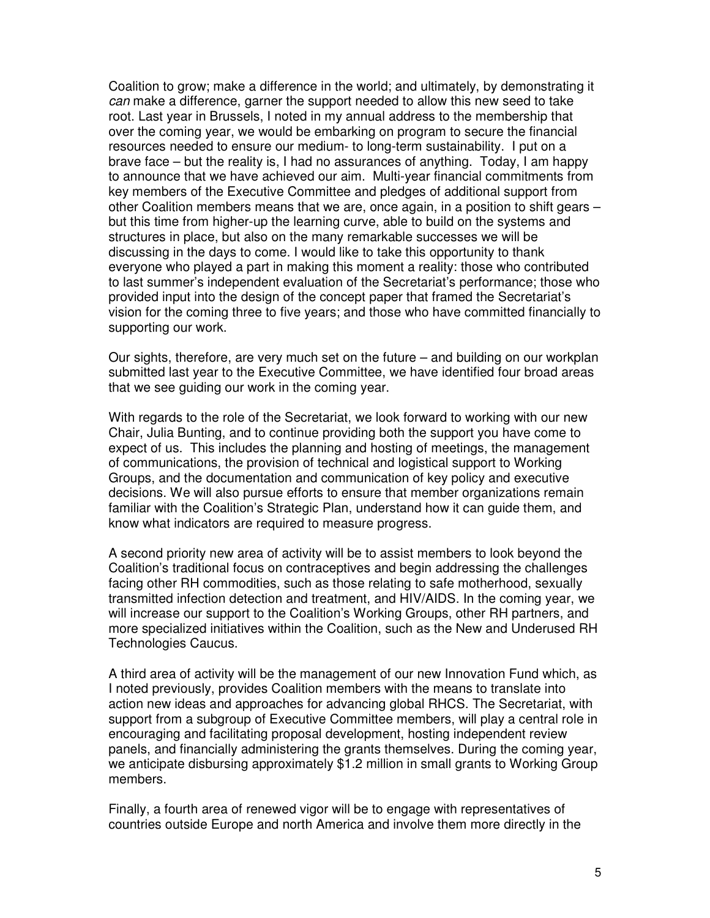Coalition to grow; make a difference in the world; and ultimately, by demonstrating it can make a difference, garner the support needed to allow this new seed to take root. Last year in Brussels, I noted in my annual address to the membership that over the coming year, we would be embarking on program to secure the financial resources needed to ensure our medium- to long-term sustainability. I put on a brave face – but the reality is, I had no assurances of anything. Today, I am happy to announce that we have achieved our aim. Multi-year financial commitments from key members of the Executive Committee and pledges of additional support from other Coalition members means that we are, once again, in a position to shift gears – but this time from higher-up the learning curve, able to build on the systems and structures in place, but also on the many remarkable successes we will be discussing in the days to come. I would like to take this opportunity to thank everyone who played a part in making this moment a reality: those who contributed to last summer's independent evaluation of the Secretariat's performance; those who provided input into the design of the concept paper that framed the Secretariat's vision for the coming three to five years; and those who have committed financially to supporting our work.

Our sights, therefore, are very much set on the future – and building on our workplan submitted last year to the Executive Committee, we have identified four broad areas that we see guiding our work in the coming year.

With regards to the role of the Secretariat, we look forward to working with our new Chair, Julia Bunting, and to continue providing both the support you have come to expect of us. This includes the planning and hosting of meetings, the management of communications, the provision of technical and logistical support to Working Groups, and the documentation and communication of key policy and executive decisions. We will also pursue efforts to ensure that member organizations remain familiar with the Coalition's Strategic Plan, understand how it can guide them, and know what indicators are required to measure progress.

A second priority new area of activity will be to assist members to look beyond the Coalition's traditional focus on contraceptives and begin addressing the challenges facing other RH commodities, such as those relating to safe motherhood, sexually transmitted infection detection and treatment, and HIV/AIDS. In the coming year, we will increase our support to the Coalition's Working Groups, other RH partners, and more specialized initiatives within the Coalition, such as the New and Underused RH Technologies Caucus.

A third area of activity will be the management of our new Innovation Fund which, as I noted previously, provides Coalition members with the means to translate into action new ideas and approaches for advancing global RHCS. The Secretariat, with support from a subgroup of Executive Committee members, will play a central role in encouraging and facilitating proposal development, hosting independent review panels, and financially administering the grants themselves. During the coming year, we anticipate disbursing approximately \$1.2 million in small grants to Working Group members.

Finally, a fourth area of renewed vigor will be to engage with representatives of countries outside Europe and north America and involve them more directly in the